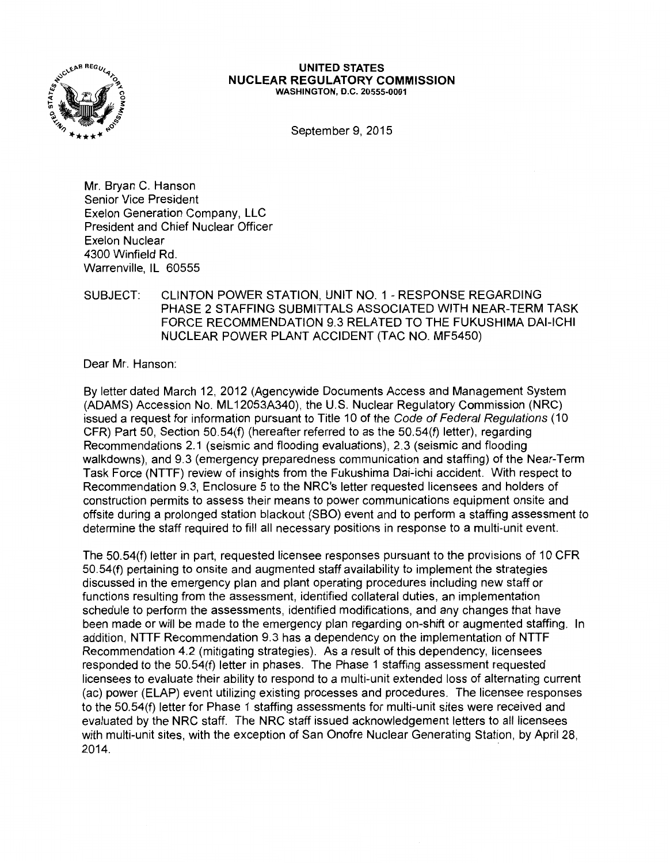

## **UNITED STATES NUCLEAR REGULATORY COMMISSION**  WASHINGTON, D.C. 20555-0001

September 9, 2015

Mr. Bryan C. Hanson Senior Vice President Exelon Generation Company, LLC President and Chief Nuclear Officer Exelon Nuclear 4300 Winfield Rd. Warrenville, IL 60555

## SUBJECT: CLINTON POWER STATION, UNIT NO. 1 - RESPONSE REGARDING PHASE 2 STAFFING SUBMITTALS ASSOCIATED WITH NEAR-TERM TASK FORCE RECOMMENDATION 9.3 RELATED TO THE FUKUSHIMA DAl-ICHI NUCLEAR POWER PLANT ACCIDENT (TAC NO. MF5450)

Dear Mr. Hanson:

By letter dated March 12, 2012 (Agencywide Documents Access and Management System (ADAMS) Accession No. ML 12053A340), the U.S. Nuclear Regulatory Commission (NRC) issued a request for information pursuant to Title 10 of the Code of Federal Regulations (10 CFR) Part 50, Section 50.54(f) (hereafter referred to as the 50.54(f) letter), regarding Recommendations 2.1 (seismic and flooding evaluations), 2.3 (seismic and flooding walkdowns), and 9.3 (emergency preparedness communication and staffing) of the Near-Term Task Force (NTTF) review of insights from the Fukushima Dai-ichi accident. With respect to Recommendation 9.3, Enclosure 5 to the NRC's letter requested licensees and holders of construction permits to assess their means to power communications equipment onsite and offsite during a prolonged station blackout (SBO) event and to perform a staffing assessment to determine the staff required to fill all necessary positions in response to a multi-unit event.

The 50.54(f) letter in part, requested licensee responses pursuant to the provisions of 10 CFR 50.54(f) pertaining to onsite and augmented staff availability to implement the strategies discussed in the emergency plan and plant operating procedures including new staff or functions resulting from the assessment, identified collateral duties, an implementation schedule to perform the assessments, identified modifications, and any changes that have been made or will be made to the emergency plan regarding on-shift or augmented staffing. In addition, NTTF Recommendation 9.3 has a dependency on the implementation of NTTF Recommendation 4.2 (mitigating strategies). As a result of this dependency, licensees responded to the 50.54(f) letter in phases. The Phase 1 staffing assessment requested licensees to evaluate their ability to respond to a multi-unit extended loss of alternating current (ac) power (ELAP) event utilizing existing processes and procedures. The licensee responses to the 50.54(f) letter for Phase 1 staffing assessments for multi-unit sites were received and evaluated by the NRC staff. The NRC staff issued acknowledgement letters to all licensees with multi-unit sites, with the exception of San Onofre Nuclear Generating Station, by April 28, 2014.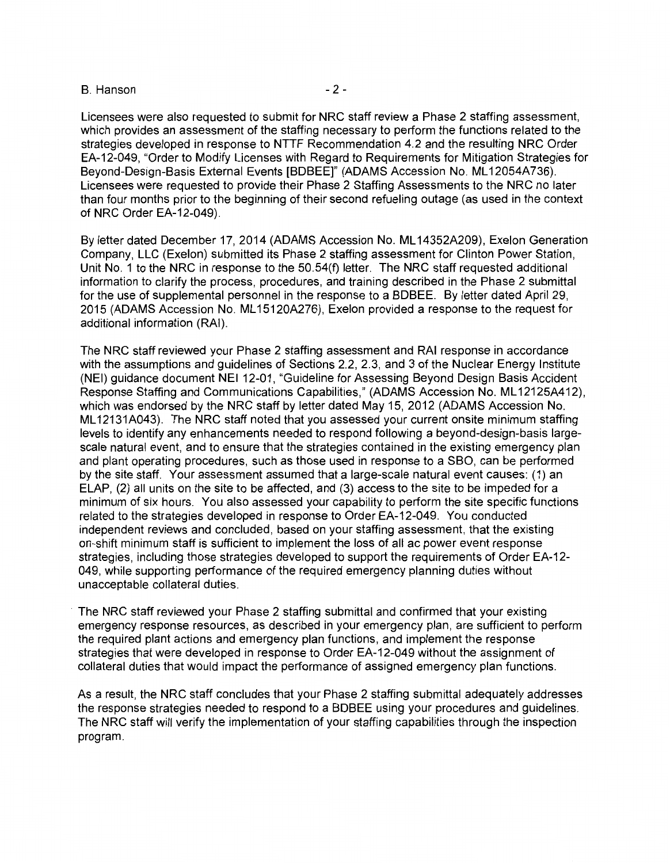## B. Hanson **B.** Hanson

Licensees were also requested to submit for NRC staff review a Phase 2 staffing assessment, which provides an assessment of the staffing necessary to perform the functions related to the strategies developed in response to NTTF Recommendation 4.2 and the resulting NRC Order EA-12-049, "Order to Modify Licenses with Regard to Requirements for Mitigation Strategies for Beyond-Design-Basis External Events [BDBEE]" (ADAMS Accession No. ML 12054A736). Licensees were requested to provide their Phase 2 Staffing Assessments to the NRC no later than four months prior to the beginning of their second refueling outage (as used in the context of NRC Order EA-12-049).

By letter dated December 17, 2014 (ADAMS Accession No. ML 14352A209), Exelon Generation Company, LLC (Exelon) submitted its Phase 2 staffing assessment for Clinton Power Station, Unit No. 1 to the NRC in response to the 50.54(f) letter. The NRC staff requested additional information to clarify the process, procedures, and training described in the Phase 2 submittal for the use of supplemental personnel in the response to a BDBEE. By letter dated April 29, 2015 (ADAMS Accession No. ML 15120A276), Exelon provided a response to the request for additional information (RAI).

The NRC staff reviewed your Phase 2 staffing assessment and RAI response in accordance with the assumptions and guidelines of Sections 2.2, 2.3, and 3 of the Nuclear Energy Institute (NEI) guidance document NEI 12-01, "Guideline for Assessing Beyond Design Basis Accident Response Staffing and Communications Capabilities," (ADAMS Accession No. ML 12125A412), which was endorsed by the NRC staff by letter dated May 15, 2012 (ADAMS Accession No. ML 12131A043). The NRC staff noted that you assessed your current onsite minimum staffing levels to identify any enhancements needed to respond following a beyond-design-basis largescale natural event, and to ensure that the strategies contained in the existing emergency plan and plant operating procedures, such as those used in response to a SBO, can be performed by the site staff. Your assessment assumed that a large-scale natural event causes: ( 1) an ELAP, (2) all units on the site to be affected, and (3) access to the site to be impeded for a minimum of six hours. You also assessed your capability to perform the site specific functions related to the strategies developed in response to Order EA-12-049. You conducted independent reviews and concluded, based on your staffing assessment, that the existing on-shift minimum staff is sufficient to implement the loss of all ac power event response strategies, including those strategies developed to support the requirements of Order EA-12- 049, while supporting performance of the required emergency planning duties without unacceptable collateral duties.

The NRC staff reviewed your Phase 2 staffing submittal and confirmed that your existing emergency response resources, as described in your emergency plan, are sufficient to perform the required plant actions and emergency plan functions, and implement the response strategies that were developed in response to Order EA-12-049 without the assignment of collateral duties that would impact the performance of assigned emergency plan functions.

As a result, the NRC staff concludes that your Phase 2 staffing submittal adequately addresses the response strategies needed to respond to a BDBEE using your procedures and guidelines. The NRC staff will verify the implementation of your staffing capabilities through the inspection program.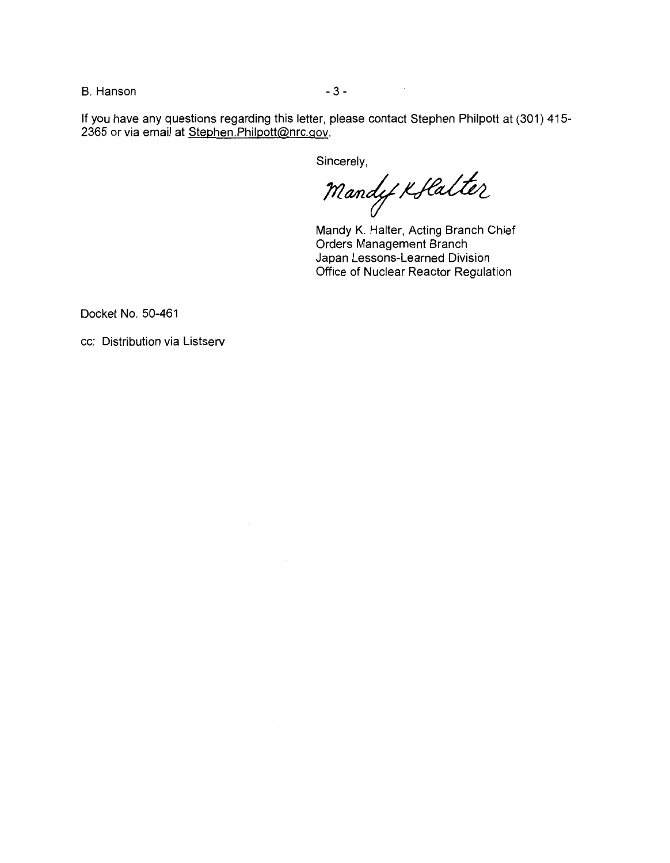B. Hanson - 3 - 3 -

If you have any questions regarding this letter, please contact Stephen Philpott at (301) 415- 2365 or via email at Stephen.Philpott@nrc.gov.

Sincerely,

 $M$ andy Koflalter

 $\mathcal{L}_{\text{max}}$ 

Mandy K. Halter, Acting Branch Chief Orders Management Branch Japan Lessons-Learned Division Office of Nuclear Reactor Regulation

Docket No. 50-461

cc: Distribution via Listserv